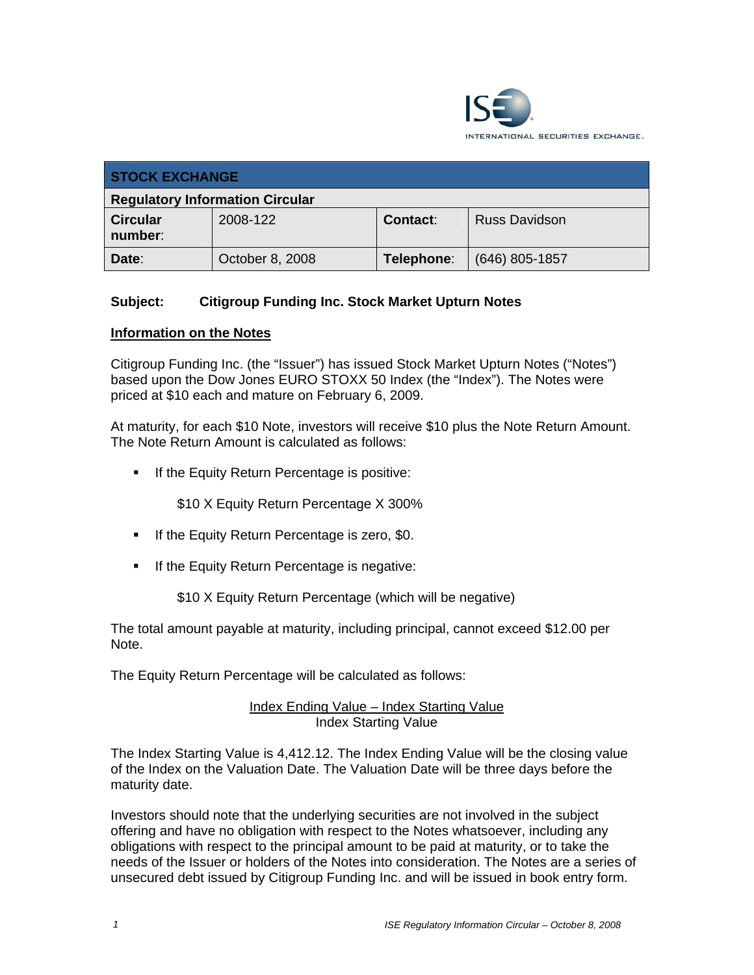

| <b>STOCK EXCHANGE</b>                  |                 |                 |                      |
|----------------------------------------|-----------------|-----------------|----------------------|
| <b>Regulatory Information Circular</b> |                 |                 |                      |
| <b>Circular</b><br>number:             | 2008-122        | <b>Contact:</b> | <b>Russ Davidson</b> |
| Date:                                  | October 8, 2008 | Telephone:      | $(646)$ 805-1857     |

# **Subject: Citigroup Funding Inc. Stock Market Upturn Notes**

#### **Information on the Notes**

Citigroup Funding Inc. (the "Issuer") has issued Stock Market Upturn Notes ("Notes") based upon the Dow Jones EURO STOXX 50 Index (the "Index"). The Notes were priced at \$10 each and mature on February 6, 2009.

At maturity, for each \$10 Note, investors will receive \$10 plus the Note Return Amount. The Note Return Amount is calculated as follows:

**If the Equity Return Percentage is positive:** 

\$10 X Equity Return Percentage X 300%

- **If the Equity Return Percentage is zero, \$0.**
- **If the Equity Return Percentage is negative:**

\$10 X Equity Return Percentage (which will be negative)

The total amount payable at maturity, including principal, cannot exceed \$12.00 per Note.

The Equity Return Percentage will be calculated as follows:

#### Index Ending Value – Index Starting Value Index Starting Value

The Index Starting Value is 4,412.12. The Index Ending Value will be the closing value of the Index on the Valuation Date. The Valuation Date will be three days before the maturity date.

Investors should note that the underlying securities are not involved in the subject offering and have no obligation with respect to the Notes whatsoever, including any obligations with respect to the principal amount to be paid at maturity, or to take the needs of the Issuer or holders of the Notes into consideration. The Notes are a series of unsecured debt issued by Citigroup Funding Inc. and will be issued in book entry form.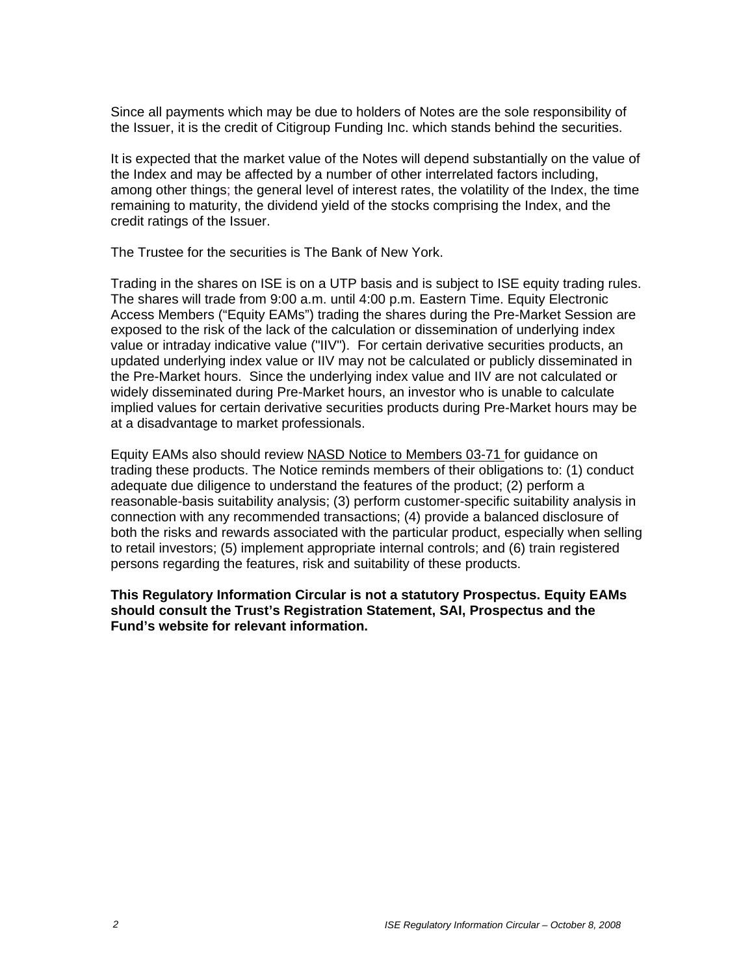Since all payments which may be due to holders of Notes are the sole responsibility of the Issuer, it is the credit of Citigroup Funding Inc. which stands behind the securities.

It is expected that the market value of the Notes will depend substantially on the value of the Index and may be affected by a number of other interrelated factors including, among other things; the general level of interest rates, the volatility of the Index, the time remaining to maturity, the dividend yield of the stocks comprising the Index, and the credit ratings of the Issuer.

The Trustee for the securities is The Bank of New York.

Trading in the shares on ISE is on a UTP basis and is subject to ISE equity trading rules. The shares will trade from 9:00 a.m. until 4:00 p.m. Eastern Time. Equity Electronic Access Members ("Equity EAMs") trading the shares during the Pre-Market Session are exposed to the risk of the lack of the calculation or dissemination of underlying index value or intraday indicative value ("IIV"). For certain derivative securities products, an updated underlying index value or IIV may not be calculated or publicly disseminated in the Pre-Market hours. Since the underlying index value and IIV are not calculated or widely disseminated during Pre-Market hours, an investor who is unable to calculate implied values for certain derivative securities products during Pre-Market hours may be at a disadvantage to market professionals.

Equity EAMs also should review NASD Notice to Members 03-71 for guidance on trading these products. The Notice reminds members of their obligations to: (1) conduct adequate due diligence to understand the features of the product; (2) perform a reasonable-basis suitability analysis; (3) perform customer-specific suitability analysis in connection with any recommended transactions; (4) provide a balanced disclosure of both the risks and rewards associated with the particular product, especially when selling to retail investors; (5) implement appropriate internal controls; and (6) train registered persons regarding the features, risk and suitability of these products.

**This Regulatory Information Circular is not a statutory Prospectus. Equity EAMs should consult the Trust's Registration Statement, SAI, Prospectus and the Fund's website for relevant information.**